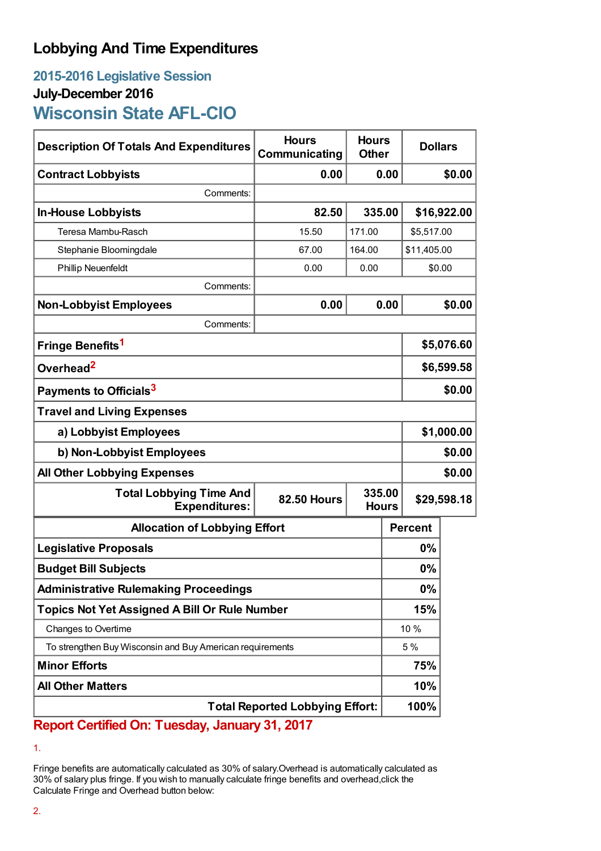## **Lobbying And Time Expenditures**

## **2015-2016 Legislative Session July-December 2016 Wisconsin State AFL-CIO**

| <b>Description Of Totals And Expenditures</b>             | <b>Hours</b><br>Communicating | <b>Hours</b><br><b>Other</b> |        | <b>Dollars</b> |        |
|-----------------------------------------------------------|-------------------------------|------------------------------|--------|----------------|--------|
| <b>Contract Lobbyists</b>                                 | 0.00                          |                              | 0.00   |                | \$0.00 |
| Comments:                                                 |                               |                              |        |                |        |
| <b>In-House Lobbyists</b>                                 | 82.50<br>335.00               |                              |        | \$16,922.00    |        |
| Teresa Mambu-Rasch                                        | 15.50                         | 171.00                       |        | \$5,517.00     |        |
| Stephanie Bloomingdale                                    | 67.00                         | 164.00                       |        | \$11,405.00    |        |
| <b>Phillip Neuenfeldt</b>                                 | 0.00                          | 0.00                         | \$0.00 |                |        |
| Comments:                                                 |                               |                              |        |                |        |
| <b>Non-Lobbyist Employees</b>                             | 0.00                          |                              | 0.00   |                | \$0.00 |
| Comments:                                                 |                               |                              |        |                |        |
| Fringe Benefits <sup>1</sup>                              |                               |                              |        | \$5,076.60     |        |
| Overhead <sup>2</sup>                                     |                               |                              |        | \$6,599.58     |        |
| Payments to Officials <sup>3</sup>                        |                               |                              |        | \$0.00         |        |
| <b>Travel and Living Expenses</b>                         |                               |                              |        |                |        |
| a) Lobbyist Employees                                     |                               |                              |        | \$1,000.00     |        |
| b) Non-Lobbyist Employees                                 |                               |                              |        | \$0.00         |        |
| <b>All Other Lobbying Expenses</b>                        |                               |                              |        | \$0.00         |        |
| <b>Total Lobbying Time And</b><br><b>Expenditures:</b>    | <b>82.50 Hours</b>            | 335.00<br><b>Hours</b>       |        | \$29,598.18    |        |
| <b>Allocation of Lobbying Effort</b>                      |                               |                              |        | <b>Percent</b> |        |
| <b>Legislative Proposals</b>                              |                               |                              | 0%     |                |        |
| <b>Budget Bill Subjects</b>                               |                               |                              |        | 0%             |        |
| <b>Administrative Rulemaking Proceedings</b>              |                               |                              | 0%     |                |        |
| <b>Topics Not Yet Assigned A Bill Or Rule Number</b>      |                               |                              | 15%    |                |        |
| Changes to Overtime                                       |                               |                              | 10 %   |                |        |
| To strengthen Buy Wisconsin and Buy American requirements |                               |                              | 5 %    |                |        |
| <b>Minor Efforts</b>                                      |                               |                              |        | 75%            |        |
| <b>All Other Matters</b>                                  |                               |                              |        | 10%            |        |
| <b>Total Reported Lobbying Effort:</b>                    |                               |                              |        | 100%           |        |

**Report Certified On: Tuesday, January 31, 2017**

Fringe benefits are automatically calculated as 30% of salary.Overhead is automatically calculated as 30% of salary plus fringe. If you wish to manually calculate fringe benefits and overhead,click the Calculate Fringe and Overhead button below:

<sup>1.</sup>